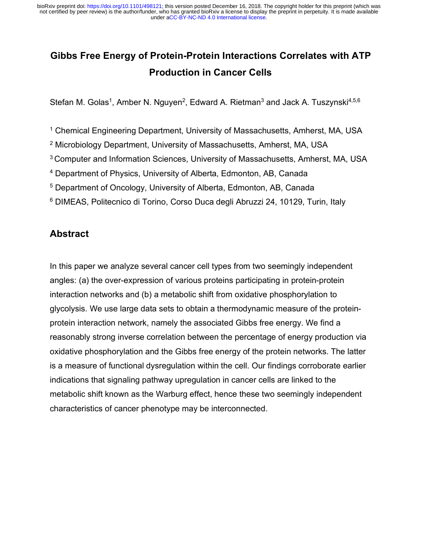# **Gibbs Free Energy of Protein-Protein Interactions Correlates with ATP Production in Cancer Cells**

Stefan M. Golas<sup>1</sup>, Amber N. Nguyen<sup>2</sup>, Edward A. Rietman<sup>3</sup> and Jack A. Tuszynski<sup>4,5,6</sup>

<sup>1</sup> Chemical Engineering Department, University of Massachusetts, Amherst, MA, USA

- <sup>2</sup> Microbiology Department, University of Massachusetts, Amherst, MA, USA
- <sup>3</sup> Computer and Information Sciences, University of Massachusetts, Amherst, MA, USA
- <sup>4</sup> Department of Physics, University of Alberta, Edmonton, AB, Canada
- <sup>5</sup> Department of Oncology, University of Alberta, Edmonton, AB, Canada
- <sup>6</sup> DIMEAS, Politecnico di Torino, Corso Duca degli Abruzzi 24, 10129, Turin, Italy

## **Abstract**

In this paper we analyze several cancer cell types from two seemingly independent angles: (a) the over-expression of various proteins participating in protein-protein interaction networks and (b) a metabolic shift from oxidative phosphorylation to glycolysis. We use large data sets to obtain a thermodynamic measure of the proteinprotein interaction network, namely the associated Gibbs free energy. We find a reasonably strong inverse correlation between the percentage of energy production via oxidative phosphorylation and the Gibbs free energy of the protein networks. The latter is a measure of functional dysregulation within the cell. Our findings corroborate earlier indications that signaling pathway upregulation in cancer cells are linked to the metabolic shift known as the Warburg effect, hence these two seemingly independent characteristics of cancer phenotype may be interconnected.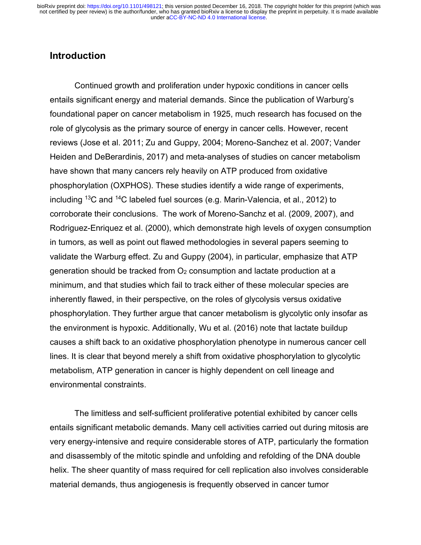## **Introduction**

Continued growth and proliferation under hypoxic conditions in cancer cells entails significant energy and material demands. Since the publication of Warburg's foundational paper on cancer metabolism in 1925, much research has focused on the role of glycolysis as the primary source of energy in cancer cells. However, recent reviews (Jose et al. 2011; Zu and Guppy, 2004; Moreno-Sanchez et al. 2007; Vander Heiden and DeBerardinis, 2017) and meta-analyses of studies on cancer metabolism have shown that many cancers rely heavily on ATP produced from oxidative phosphorylation (OXPHOS). These studies identify a wide range of experiments, including  $^{13}$ C and  $^{14}$ C labeled fuel sources (e.g. Marin-Valencia, et al., 2012) to corroborate their conclusions. The work of Moreno-Sanchz et al. (2009, 2007), and Rodriguez-Enriquez et al. (2000), which demonstrate high levels of oxygen consumption in tumors, as well as point out flawed methodologies in several papers seeming to validate the Warburg effect. Zu and Guppy (2004), in particular, emphasize that ATP generation should be tracked from  $O<sub>2</sub>$  consumption and lactate production at a minimum, and that studies which fail to track either of these molecular species are inherently flawed, in their perspective, on the roles of glycolysis versus oxidative phosphorylation. They further argue that cancer metabolism is glycolytic only insofar as the environment is hypoxic. Additionally, Wu et al. (2016) note that lactate buildup causes a shift back to an oxidative phosphorylation phenotype in numerous cancer cell lines. It is clear that beyond merely a shift from oxidative phosphorylation to glycolytic metabolism, ATP generation in cancer is highly dependent on cell lineage and environmental constraints.

The limitless and self-sufficient proliferative potential exhibited by cancer cells entails significant metabolic demands. Many cell activities carried out during mitosis are very energy-intensive and require considerable stores of ATP, particularly the formation and disassembly of the mitotic spindle and unfolding and refolding of the DNA double helix. The sheer quantity of mass required for cell replication also involves considerable material demands, thus angiogenesis is frequently observed in cancer tumor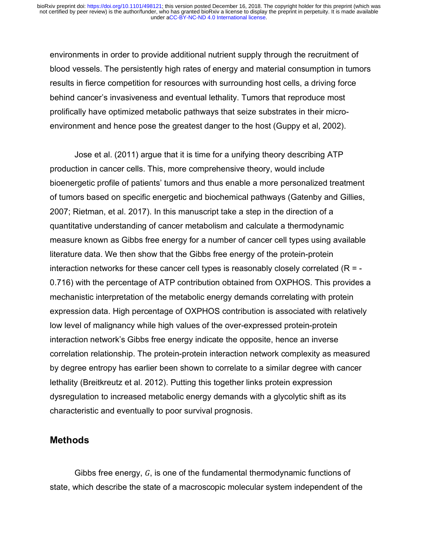under [aCC-BY-NC-ND 4.0 International license.](http://creativecommons.org/licenses/by-nc-nd/4.0/) not certified by peer review) is the author/funder, who has granted bioRxiv a license to display the preprint in perpetuity. It is made available bioRxiv preprint doi: [https://doi.org/10.1101/498121;](https://doi.org/10.1101/498121) this version posted December 16, 2018. The copyright holder for this preprint (which was

environments in order to provide additional nutrient supply through the recruitment of blood vessels. The persistently high rates of energy and material consumption in tumors results in fierce competition for resources with surrounding host cells, a driving force behind cancer's invasiveness and eventual lethality. Tumors that reproduce most prolifically have optimized metabolic pathways that seize substrates in their microenvironment and hence pose the greatest danger to the host (Guppy et al, 2002).

Jose et al. (2011) argue that it is time for a unifying theory describing ATP production in cancer cells. This, more comprehensive theory, would include bioenergetic profile of patients' tumors and thus enable a more personalized treatment of tumors based on specific energetic and biochemical pathways (Gatenby and Gillies, 2007; Rietman, et al. 2017). In this manuscript take a step in the direction of a quantitative understanding of cancer metabolism and calculate a thermodynamic measure known as Gibbs free energy for a number of cancer cell types using available literature data. We then show that the Gibbs free energy of the protein-protein interaction networks for these cancer cell types is reasonably closely correlated ( $R = -$ 0.716) with the percentage of ATP contribution obtained from OXPHOS. This provides a mechanistic interpretation of the metabolic energy demands correlating with protein expression data. High percentage of OXPHOS contribution is associated with relatively low level of malignancy while high values of the over-expressed protein-protein interaction network's Gibbs free energy indicate the opposite, hence an inverse correlation relationship. The protein-protein interaction network complexity as measured by degree entropy has earlier been shown to correlate to a similar degree with cancer lethality (Breitkreutz et al. 2012). Putting this together links protein expression dysregulation to increased metabolic energy demands with a glycolytic shift as its characteristic and eventually to poor survival prognosis.

#### **Methods**

Gibbs free energy,  $G$ , is one of the fundamental thermodynamic functions of state, which describe the state of a macroscopic molecular system independent of the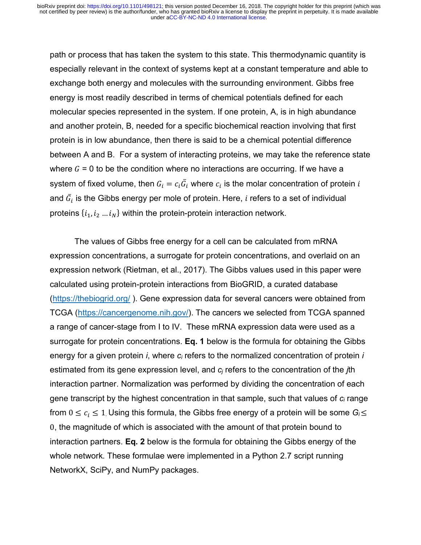path or process that has taken the system to this state. This thermodynamic quantity is especially relevant in the context of systems kept at a constant temperature and able to exchange both energy and molecules with the surrounding environment. Gibbs free energy is most readily described in terms of chemical potentials defined for each molecular species represented in the system. If one protein, A, is in high abundance and another protein, B, needed for a specific biochemical reaction involving that first protein is in low abundance, then there is said to be a chemical potential difference between A and B. For a system of interacting proteins, we may take the reference state where  $G = 0$  to be the condition where no interactions are occurring. If we have a system of fixed volume, then  $G_i = c_i \bar{G_i}$  where  $c_i$  is the molar concentration of protein  $i$ and  $\bar{G}_i$  is the Gibbs energy per mole of protein. Here,  $i$  refers to a set of individual proteins  $\{i_1, i_2, \ldots i_N\}$  within the protein-protein interaction network.

The values of Gibbs free energy for a cell can be calculated from mRNA expression concentrations, a surrogate for protein concentrations, and overlaid on an expression network (Rietman, et al., 2017). The Gibbs values used in this paper were calculated using protein-protein interactions from BioGRID, a curated database (https://thebiogrid.org/ ). Gene expression data for several cancers were obtained from TCGA (https://cancergenome.nih.gov/). The cancers we selected from TCGA spanned a range of cancer-stage from I to IV. These mRNA expression data were used as a surrogate for protein concentrations. **Eq. 1** below is the formula for obtaining the Gibbs energy for a given protein *i*, where *ci* refers to the normalized concentration of protein *i* estimated from its gene expression level, and *cj* refers to the concentration of the *j*th interaction partner. Normalization was performed by dividing the concentration of each gene transcript by the highest concentration in that sample, such that values of *ci* range from  $0 \le c_i \le 1$ . Using this formula, the Gibbs free energy of a protein will be some  $G_i \le$ 0, the magnitude of which is associated with the amount of that protein bound to interaction partners. **Eq. 2** below is the formula for obtaining the Gibbs energy of the whole network. These formulae were implemented in a Python 2.7 script running NetworkX, SciPy, and NumPy packages.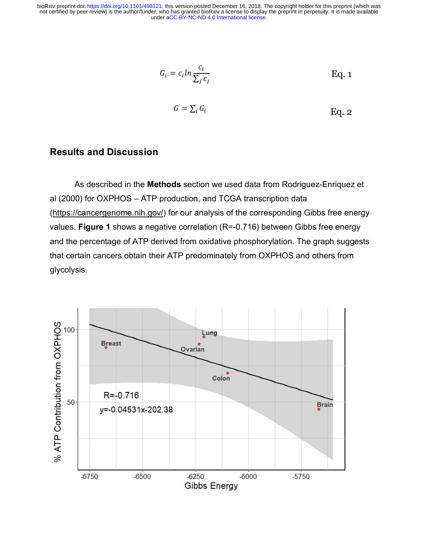under [aCC-BY-NC-ND 4.0 International license.](http://creativecommons.org/licenses/by-nc-nd/4.0/) not certified by peer review) is the author/funder, who has granted bioRxiv a license to display the preprint in perpetuity. It is made available bioRxiv preprint doi: [https://doi.org/10.1101/498121;](https://doi.org/10.1101/498121) this version posted December 16, 2018. The copyright holder for this preprint (which was

$$
G_i = c_i \ln \frac{c_i}{\sum_j c_j} \qquad \qquad \text{Eq. 1}
$$
  

$$
G = \sum_i G_i \qquad \qquad \text{Eq. 2}
$$

Eq. 2

$$
f_{\rm{max}}(x)=\frac{1}{2}x
$$

#### **Results and Discussion**

As described in the **Methods** section we used data from Rodriguez-Enriquez et al (2000) for OXPHOS – ATP production, and TCGA transcription data (https://cancergenome.nih.gov/) for our analysis of the corresponding Gibbs free energy values. **Figure 1** shows a negative correlation (R=-0.716) between Gibbs free energy and the percentage of ATP derived from oxidative phosphorylation. The graph suggests that certain cancers obtain their ATP predominately from OXPHOS and others from glycolysis.

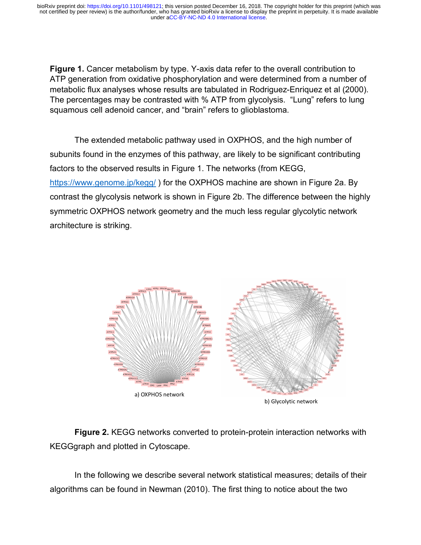under [aCC-BY-NC-ND 4.0 International license.](http://creativecommons.org/licenses/by-nc-nd/4.0/) not certified by peer review) is the author/funder, who has granted bioRxiv a license to display the preprint in perpetuity. It is made available bioRxiv preprint doi: [https://doi.org/10.1101/498121;](https://doi.org/10.1101/498121) this version posted December 16, 2018. The copyright holder for this preprint (which was

**Figure 1.** Cancer metabolism by type. Y-axis data refer to the overall contribution to ATP generation from oxidative phosphorylation and were determined from a number of metabolic flux analyses whose results are tabulated in Rodriguez-Enriquez et al (2000). The percentages may be contrasted with % ATP from glycolysis. "Lung" refers to lung squamous cell adenoid cancer, and "brain" refers to glioblastoma.

The extended metabolic pathway used in OXPHOS, and the high number of subunits found in the enzymes of this pathway, are likely to be significant contributing factors to the observed results in Figure 1. The networks (from KEGG, https://www.genome.jp/kegg/ ) for the OXPHOS machine are shown in Figure 2a. By contrast the glycolysis network is shown in Figure 2b. The difference between the highly symmetric OXPHOS network geometry and the much less regular glycolytic network architecture is striking.



**Figure 2.** KEGG networks converted to protein-protein interaction networks with KEGGgraph and plotted in Cytoscape.

In the following we describe several network statistical measures; details of their algorithms can be found in Newman (2010). The first thing to notice about the two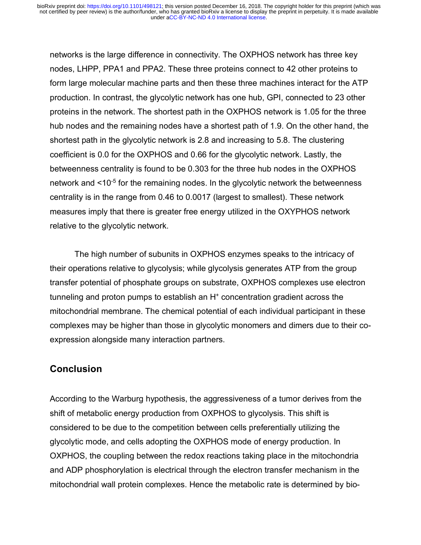networks is the large difference in connectivity. The OXPHOS network has three key nodes, LHPP, PPA1 and PPA2. These three proteins connect to 42 other proteins to form large molecular machine parts and then these three machines interact for the ATP production. In contrast, the glycolytic network has one hub, GPI, connected to 23 other proteins in the network. The shortest path in the OXPHOS network is 1.05 for the three hub nodes and the remaining nodes have a shortest path of 1.9. On the other hand, the shortest path in the glycolytic network is 2.8 and increasing to 5.8. The clustering coefficient is 0.0 for the OXPHOS and 0.66 for the glycolytic network. Lastly, the betweenness centrality is found to be 0.303 for the three hub nodes in the OXPHOS network and <10<sup>-5</sup> for the remaining nodes. In the glycolytic network the betweenness centrality is in the range from 0.46 to 0.0017 (largest to smallest). These network measures imply that there is greater free energy utilized in the OXYPHOS network relative to the glycolytic network.

The high number of subunits in OXPHOS enzymes speaks to the intricacy of their operations relative to glycolysis; while glycolysis generates ATP from the group transfer potential of phosphate groups on substrate, OXPHOS complexes use electron tunneling and proton pumps to establish an  $H<sup>+</sup>$  concentration gradient across the mitochondrial membrane. The chemical potential of each individual participant in these complexes may be higher than those in glycolytic monomers and dimers due to their coexpression alongside many interaction partners.

## **Conclusion**

According to the Warburg hypothesis, the aggressiveness of a tumor derives from the shift of metabolic energy production from OXPHOS to glycolysis. This shift is considered to be due to the competition between cells preferentially utilizing the glycolytic mode, and cells adopting the OXPHOS mode of energy production. In OXPHOS, the coupling between the redox reactions taking place in the mitochondria and ADP phosphorylation is electrical through the electron transfer mechanism in the mitochondrial wall protein complexes. Hence the metabolic rate is determined by bio-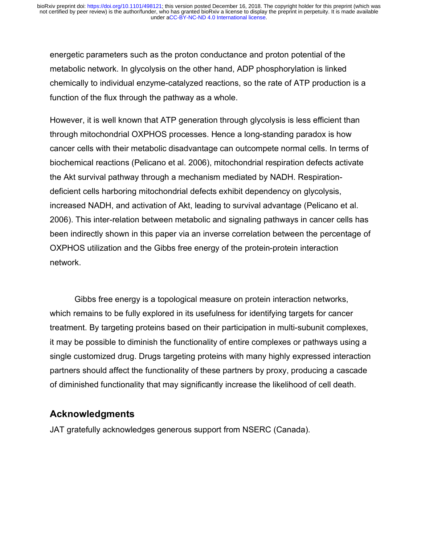energetic parameters such as the proton conductance and proton potential of the metabolic network. In glycolysis on the other hand, ADP phosphorylation is linked chemically to individual enzyme-catalyzed reactions, so the rate of ATP production is a function of the flux through the pathway as a whole.

However, it is well known that ATP generation through glycolysis is less efficient than through mitochondrial OXPHOS processes. Hence a long-standing paradox is how cancer cells with their metabolic disadvantage can outcompete normal cells. In terms of biochemical reactions (Pelicano et al. 2006), mitochondrial respiration defects activate the Akt survival pathway through a mechanism mediated by NADH. Respirationdeficient cells harboring mitochondrial defects exhibit dependency on glycolysis, increased NADH, and activation of Akt, leading to survival advantage (Pelicano et al. 2006). This inter-relation between metabolic and signaling pathways in cancer cells has been indirectly shown in this paper via an inverse correlation between the percentage of OXPHOS utilization and the Gibbs free energy of the protein-protein interaction network.

Gibbs free energy is a topological measure on protein interaction networks, which remains to be fully explored in its usefulness for identifying targets for cancer treatment. By targeting proteins based on their participation in multi-subunit complexes, it may be possible to diminish the functionality of entire complexes or pathways using a single customized drug. Drugs targeting proteins with many highly expressed interaction partners should affect the functionality of these partners by proxy, producing a cascade of diminished functionality that may significantly increase the likelihood of cell death.

### **Acknowledgments**

JAT gratefully acknowledges generous support from NSERC (Canada).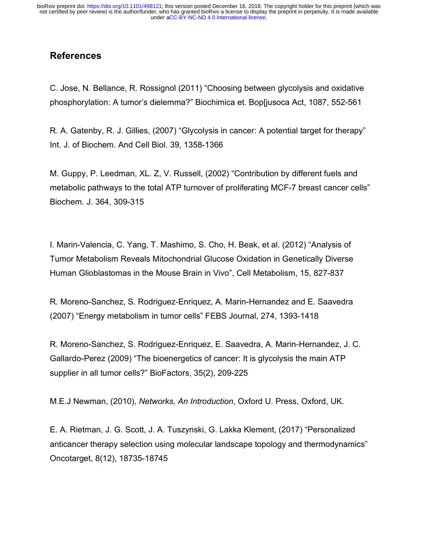## **References**

C. Jose, N. Bellance, R. Rossignol (2011) "Choosing between glycolysis and oxidative phosphorylation: A tumor's dielemma?" Biochimica et. Bop[jusoca Act, 1087, 552-561

R. A. Gatenby, R. J. Gillies, (2007) "Glycolysis in cancer: A potential target for therapy" Int. J. of Biochem. And Cell Biol. 39, 1358-1366

M. Guppy, P. Leedman, XL. Z, V. Russell, (2002) "Contribution by different fuels and metabolic pathways to the total ATP turnover of proliferating MCF-7 breast cancer cells" Biochem. J. 364, 309-315

I. Marin-Valencia, C. Yang, T. Mashimo, S. Cho, H. Beak, et al. (2012) "Analysis of Tumor Metabolism Reveals Mitochondrial Glucose Oxidation in Genetically Diverse Human Glioblastomas in the Mouse Brain in Vivo", Cell Metabolism, 15, 827-837

R. Moreno-Sanchez, S. Rodriguez-Enriquez, A. Marin-Hernandez and E. Saavedra (2007) "Energy metabolism in tumor cells" FEBS Journal, 274, 1393-1418

R. Moreno-Sanchez, S. Rodriguez-Enriquez, E. Saavedra, A. Marin-Hernandez, J. C. Gallardo-Perez (2009) "The bioenergetics of cancer: It is glycolysis the main ATP supplier in all tumor cells?" BioFactors, 35(2), 209-225

M.E.J Newman, (2010), *Networks, An Introduction*, Oxford U. Press, Oxford, UK.

E. A. Rietman, J. G. Scott, J. A. Tuszynski, G. Lakka Klement, (2017) "Personalized anticancer therapy selection using molecular landscape topology and thermodynamics" Oncotarget, 8(12), 18735-18745